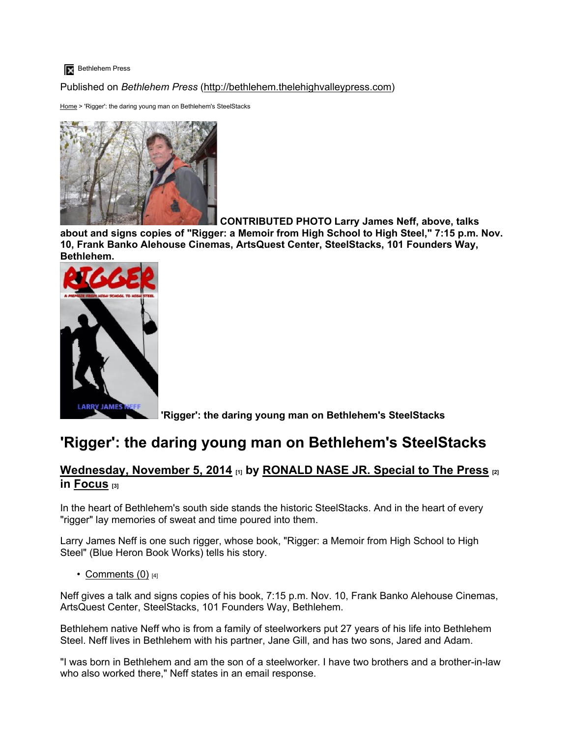## **Bethlehem Press**

Published on *Bethlehem Press* (http://bethlehem.thelehighvalleypress.com)

Home > 'Rigger': the daring young man on Bethlehem's SteelStacks



**CONTRIBUTED PHOTO Larry James Neff, above, talks** 

**about and signs copies of "Rigger: a Memoir from High School to High Steel," 7:15 p.m. Nov. 10, Frank Banko Alehouse Cinemas, ArtsQuest Center, SteelStacks, 101 Founders Way, Bethlehem.**



**'Rigger': the daring young man on Bethlehem's SteelStacks**

# **'Rigger': the daring young man on Bethlehem's SteelStacks**

# **Wednesday, November 5, 2014 [1] by RONALD NASE JR. Special to The Press [2] in Focus [3]**

In the heart of Bethlehem's south side stands the historic SteelStacks. And in the heart of every "rigger" lay memories of sweat and time poured into them.

Larry James Neff is one such rigger, whose book, "Rigger: a Memoir from High School to High Steel" (Blue Heron Book Works) tells his story.

## • Comments  $(0)$  [4]

Neff gives a talk and signs copies of his book, 7:15 p.m. Nov. 10, Frank Banko Alehouse Cinemas, ArtsQuest Center, SteelStacks, 101 Founders Way, Bethlehem.

Bethlehem native Neff who is from a family of steelworkers put 27 years of his life into Bethlehem Steel. Neff lives in Bethlehem with his partner, Jane Gill, and has two sons, Jared and Adam.

"I was born in Bethlehem and am the son of a steelworker. I have two brothers and a brother-in-law who also worked there," Neff states in an email response.